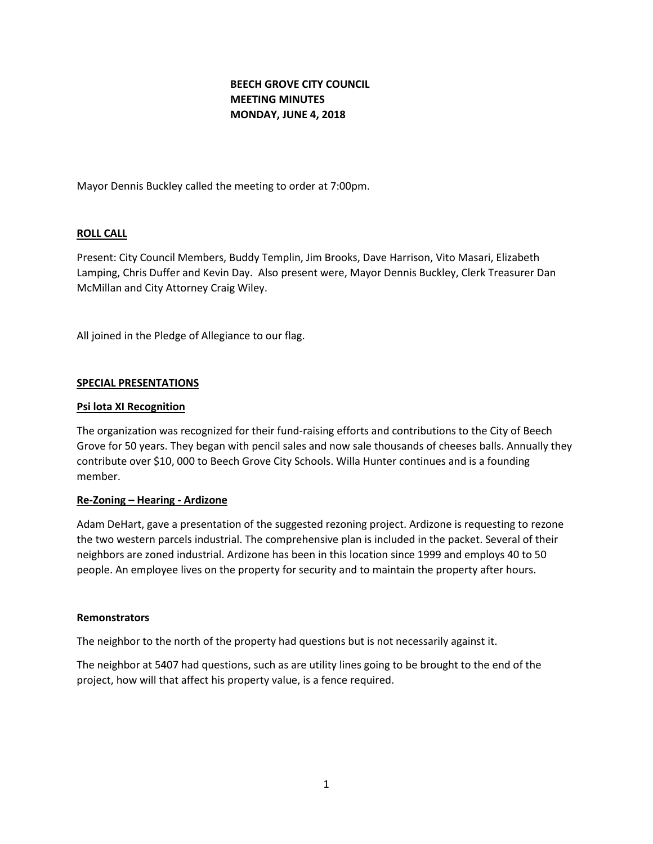# **BEECH GROVE CITY COUNCIL MEETING MINUTES MONDAY, JUNE 4, 2018**

Mayor Dennis Buckley called the meeting to order at 7:00pm.

#### **ROLL CALL**

Present: City Council Members, Buddy Templin, Jim Brooks, Dave Harrison, Vito Masari, Elizabeth Lamping, Chris Duffer and Kevin Day. Also present were, Mayor Dennis Buckley, Clerk Treasurer Dan McMillan and City Attorney Craig Wiley.

All joined in the Pledge of Allegiance to our flag.

#### **SPECIAL PRESENTATIONS**

#### **Psi lota XI Recognition**

The organization was recognized for their fund-raising efforts and contributions to the City of Beech Grove for 50 years. They began with pencil sales and now sale thousands of cheeses balls. Annually they contribute over \$10, 000 to Beech Grove City Schools. Willa Hunter continues and is a founding member.

#### **Re-Zoning – Hearing - Ardizone**

Adam DeHart, gave a presentation of the suggested rezoning project. Ardizone is requesting to rezone the two western parcels industrial. The comprehensive plan is included in the packet. Several of their neighbors are zoned industrial. Ardizone has been in this location since 1999 and employs 40 to 50 people. An employee lives on the property for security and to maintain the property after hours.

#### **Remonstrators**

The neighbor to the north of the property had questions but is not necessarily against it.

The neighbor at 5407 had questions, such as are utility lines going to be brought to the end of the project, how will that affect his property value, is a fence required.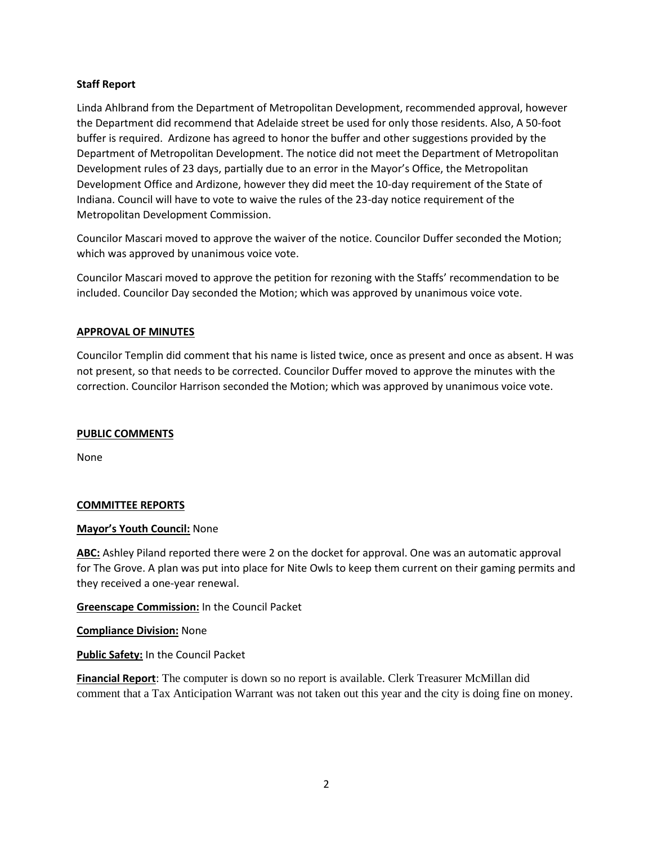## **Staff Report**

Linda Ahlbrand from the Department of Metropolitan Development, recommended approval, however the Department did recommend that Adelaide street be used for only those residents. Also, A 50-foot buffer is required. Ardizone has agreed to honor the buffer and other suggestions provided by the Department of Metropolitan Development. The notice did not meet the Department of Metropolitan Development rules of 23 days, partially due to an error in the Mayor's Office, the Metropolitan Development Office and Ardizone, however they did meet the 10-day requirement of the State of Indiana. Council will have to vote to waive the rules of the 23-day notice requirement of the Metropolitan Development Commission.

Councilor Mascari moved to approve the waiver of the notice. Councilor Duffer seconded the Motion; which was approved by unanimous voice vote.

Councilor Mascari moved to approve the petition for rezoning with the Staffs' recommendation to be included. Councilor Day seconded the Motion; which was approved by unanimous voice vote.

## **APPROVAL OF MINUTES**

Councilor Templin did comment that his name is listed twice, once as present and once as absent. H was not present, so that needs to be corrected. Councilor Duffer moved to approve the minutes with the correction. Councilor Harrison seconded the Motion; which was approved by unanimous voice vote.

## **PUBLIC COMMENTS**

None

## **COMMITTEE REPORTS**

## **Mayor's Youth Council:** None

**ABC:** Ashley Piland reported there were 2 on the docket for approval. One was an automatic approval for The Grove. A plan was put into place for Nite Owls to keep them current on their gaming permits and they received a one-year renewal.

**Greenscape Commission:** In the Council Packet

**Compliance Division:** None

**Public Safety:** In the Council Packet

**Financial Report**: The computer is down so no report is available. Clerk Treasurer McMillan did comment that a Tax Anticipation Warrant was not taken out this year and the city is doing fine on money.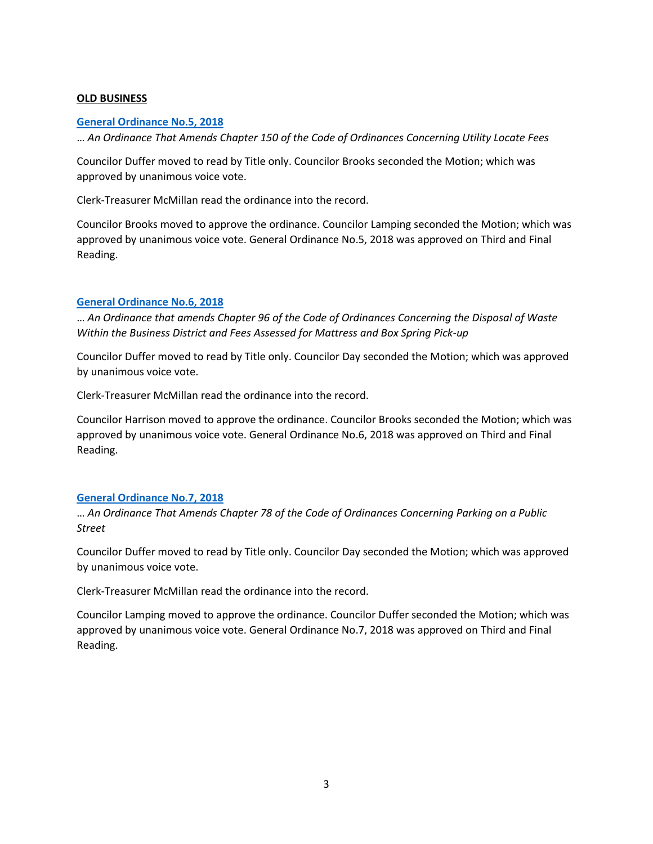## **OLD BUSINESS**

#### **[General Ordinance No.5, 2018](http://www.beechgrove.com/uploads/1/0/1/2/10129925/general_ordinance_5_2018.pdf)**

… *An Ordinance That Amends Chapter 150 of the Code of Ordinances Concerning Utility Locate Fees*

Councilor Duffer moved to read by Title only. Councilor Brooks seconded the Motion; which was approved by unanimous voice vote.

Clerk-Treasurer McMillan read the ordinance into the record.

Councilor Brooks moved to approve the ordinance. Councilor Lamping seconded the Motion; which was approved by unanimous voice vote. General Ordinance No.5, 2018 was approved on Third and Final Reading.

## **[General Ordinance No.6, 2018](http://www.beechgrove.com/uploads/1/0/1/2/10129925/general_ordinance_6_2018.pdf)**

… *An Ordinance that amends Chapter 96 of the Code of Ordinances Concerning the Disposal of Waste Within the Business District and Fees Assessed for Mattress and Box Spring Pick-up*

Councilor Duffer moved to read by Title only. Councilor Day seconded the Motion; which was approved by unanimous voice vote.

Clerk-Treasurer McMillan read the ordinance into the record.

Councilor Harrison moved to approve the ordinance. Councilor Brooks seconded the Motion; which was approved by unanimous voice vote. General Ordinance No.6, 2018 was approved on Third and Final Reading.

## **[General Ordinance No.7, 2018](http://www.beechgrove.com/uploads/1/0/1/2/10129925/general_ordinance_7_2018.pdf)**

… *An Ordinance That Amends Chapter 78 of the Code of Ordinances Concerning Parking on a Public Street*

Councilor Duffer moved to read by Title only. Councilor Day seconded the Motion; which was approved by unanimous voice vote.

Clerk-Treasurer McMillan read the ordinance into the record.

Councilor Lamping moved to approve the ordinance. Councilor Duffer seconded the Motion; which was approved by unanimous voice vote. General Ordinance No.7, 2018 was approved on Third and Final Reading.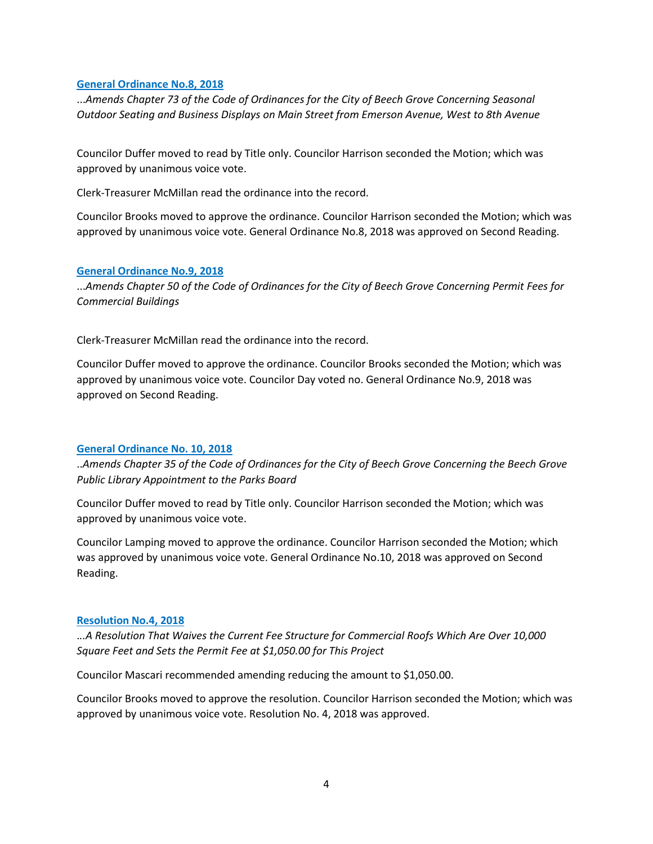#### **[General Ordinance No.8, 2018](http://www.beechgrove.com/uploads/1/0/1/2/10129925/general_ordinance_8_2018.pdf)**

...*Amends Chapter 73 of the Code of Ordinances for the City of Beech Grove Concerning Seasonal Outdoor Seating and Business Displays on Main Street from Emerson Avenue, West to 8th Avenue*

Councilor Duffer moved to read by Title only. Councilor Harrison seconded the Motion; which was approved by unanimous voice vote.

Clerk-Treasurer McMillan read the ordinance into the record.

Councilor Brooks moved to approve the ordinance. Councilor Harrison seconded the Motion; which was approved by unanimous voice vote. General Ordinance No.8, 2018 was approved on Second Reading.

#### **[General Ordinance No.9, 2018](http://www.beechgrove.com/uploads/1/0/1/2/10129925/general_ordinance_9_2018.pdf)**

...*Amends Chapter 50 of the Code of Ordinances for the City of Beech Grove Concerning Permit Fees for Commercial Buildings*

Clerk-Treasurer McMillan read the ordinance into the record.

Councilor Duffer moved to approve the ordinance. Councilor Brooks seconded the Motion; which was approved by unanimous voice vote. Councilor Day voted no. General Ordinance No.9, 2018 was approved on Second Reading.

#### **[General Ordinance No. 10, 2018](http://www.beechgrove.com/uploads/1/0/1/2/10129925/general_ordinance_10_2018.pdf)**

..*Amends Chapter 35 of the Code of Ordinances for the City of Beech Grove Concerning the Beech Grove Public Library Appointment to the Parks Board*

Councilor Duffer moved to read by Title only. Councilor Harrison seconded the Motion; which was approved by unanimous voice vote.

Councilor Lamping moved to approve the ordinance. Councilor Harrison seconded the Motion; which was approved by unanimous voice vote. General Ordinance No.10, 2018 was approved on Second Reading.

#### **[Resolution No.4, 2018](http://www.beechgrove.com/uploads/1/0/1/2/10129925/resolution_4_2018_revised.pdf)**

.*..A Resolution That Waives the Current Fee Structure for Commercial Roofs Which Are Over 10,000 Square Feet and Sets the Permit Fee at \$1,050.00 for This Project*

Councilor Mascari recommended amending reducing the amount to \$1,050.00.

Councilor Brooks moved to approve the resolution. Councilor Harrison seconded the Motion; which was approved by unanimous voice vote. Resolution No. 4, 2018 was approved.